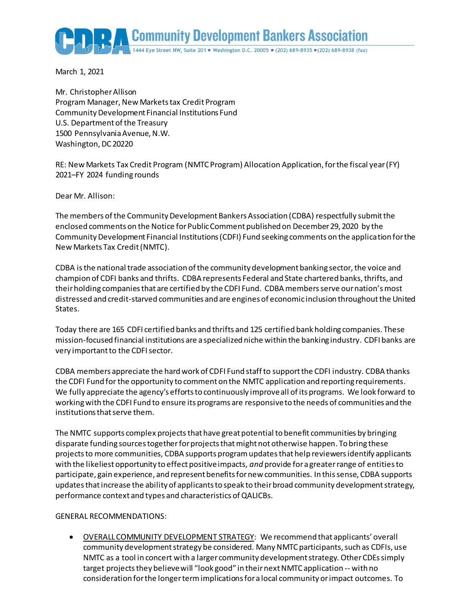Community Development Bankers Association

March 1, 2021

Mr. Christopher Allison Program Manager, New Markets tax Credit Program Community Development Financial Institutions Fund U.S. Department of the Treasury 1500 Pennsylvania Avenue, N.W. Washington, DC 20220

RE: New Markets Tax Credit Program (NMTC Program) Allocation Application, for the fiscal year (FY) 2021–FY 2024 funding rounds

Dear Mr. Allison:

The members of the Community Development Bankers Association (CDBA) respectfully submit the enclosed comments on the Notice for Public Comment published on December29, 2020 by the Community Development Financial Institutions (CDFI) Fund seeking comments on the application for the New Markets Tax Credit (NMTC).

CDBA is the national trade association of the community development banking sector, the voice and champion of CDFI banks and thrifts. CDBA represents Federal and State chartered banks, thrifts, and their holding companies that are certified by the CDFI Fund. CDBA members serve our nation's most distressed and credit-starved communities and are engines of economic inclusion throughout the United States.

Today there are 165 CDFI certified banks and thrifts and 125 certified bank holding companies. These mission-focused financial institutions are a specialized niche within the banking industry. CDFI banks are very important to the CDFI sector.

CDBA members appreciate the hard work of CDFI Fund staff to support the CDFI industry. CDBA thanks the CDFI Fund for the opportunity to comment on the NMTC application and reporting requirements. We fully appreciate the agency's efforts to continuously improve all of its programs. We look forward to working with the CDFI Fund to ensure its programs are responsive to the needs of communities and the institutions that serve them.

The NMTC supports complex projects that have great potential to benefit communities by bringing disparate funding sources together for projects that might not otherwise happen. To bring these projects to more communities, CDBA supports program updatesthat help reviewers identify applicants with the likeliest opportunity to effect positive impacts, *and* provide for a greater range of entities to participate, gain experience, and represent benefits for new communities. In this sense, CDBA supports updates that increase the ability of applicants to speak to their broad community development strategy, performance context and types and characteristics of QALICBs.

### GENERAL RECOMMENDATIONS:

 OVERALL COMMUNITY DEVELOPMENT STRATEGY: We recommend that applicants' overall community development strategy be considered. Many NMTC participants, such as CDFIs, use NMTC as a tool in concert with a larger community development strategy. Other CDEs simply target projects they believe will "look good" in theirnext NMTC application -- with no consideration for the longer term implications for a local community or impact outcomes. To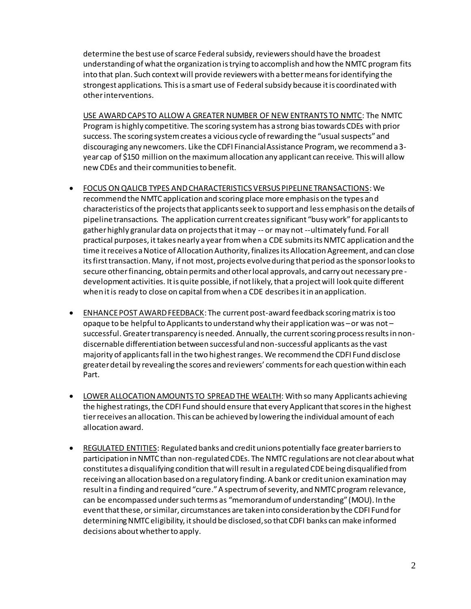determine the best use of scarce Federal subsidy, reviewers should have the broadest understanding of what the organization is trying to accomplish and how the NMTC program fits into that plan. Such context will provide reviewers with a better means for identifying the strongest applications. This is a smart use of Federal subsidy because it is coordinated with other interventions.

USE AWARD CAPS TO ALLOW A GREATER NUMBER OF NEW ENTRANTS TO NMTC: The NMTC Program is highly competitive. The scoring system has a strong bias towards CDEs with prior success. The scoring system creates a vicious cycle of rewarding the "usual suspects" and discouraging any newcomers. Like the CDFI Financial Assistance Program, we recommend a 3 year cap of \$150 million on the maximum allocation any applicant can receive. This will allow new CDEs and their communities to benefit.

- FOCUS ON QALICB TYPES AND CHARACTERISTICS VERSUS PIPELINE TRANSACTIONS: We recommend the NMTC application and scoring place more emphasis on the types and characteristics of the projects that applicants seek to support and less emphasis on the details of pipeline transactions. The application current creates significant "busy work" for applicants to gather highly granular data on projects that it may -- or may not --ultimately fund. For all practical purposes, it takes nearly a year from when a CDE submits its NMTC application and the time it receives a Notice of Allocation Authority, finalizes its Allocation Agreement, and can close its first transaction. Many, if not most, projects evolve during that period as the sponsor looks to secure other financing, obtain permits and other local approvals, and carry out necessary pre development activities. It is quite possible, if not likely, that a project will look quite different when it is ready to close on capital from when a CDE describes it in an application.
- ENHANCE POST AWARD FEEDBACK: The current post-award feedback scoring matrix is too opaque to be helpful to Applicants to understand why their application was –or was not – successful. Greater transparency is needed. Annually, the current scoring process results in nondiscernable differentiation between successful and non-successful applicants as the vast majority of applicants fall in the two highest ranges. We recommend the CDFI Fund disclose greater detail by revealing the scores and reviewers' comments for each question within each Part.
- LOWER ALLOCATION AMOUNTS TO SPREAD THE WEALTH: With so many Applicants achieving the highest ratings, the CDFI Fund should ensure that every Applicant that scores in the highest tier receives an allocation. This can be achieved by lowering the individual amount of each allocation award.
- REGULATED ENTITIES: Regulated banks and credit unions potentially face greater barriers to participation in NMTC than non-regulated CDEs. The NMTC regulations are not clear about what constitutes a disqualifying condition that will result in a regulated CDE being disqualified from receiving an allocation based on a regulatory finding. A bank or credit union examinationmay result in a finding and required "cure."A spectrum of severity, and NMTC program relevance, can be encompassed under such terms as "memorandum of understanding" (MOU). In the event that these, or similar, circumstances are taken into consideration by the CDFI Fund for determining NMTC eligibility, it should be disclosed, so that CDFI banks can make informed decisions about whether to apply.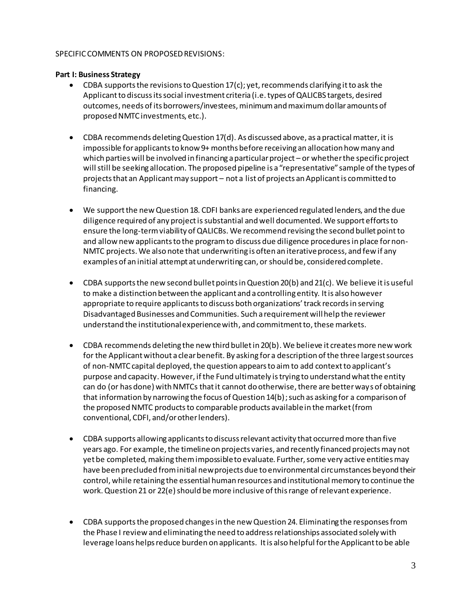#### SPECIFIC COMMENTS ON PROPOSED REVISIONS:

### **Part I: Business Strategy**

- $\bullet$  CDBA supports the revisions to Question 17(c); yet, recommends clarifying it to ask the Applicant to discuss its social investment criteria (i.e. types of QALICBS targets, desired outcomes, needs of its borrowers/investees, minimum and maximum dollar amounts of proposed NMTC investments, etc.).
- $\bullet$  CDBA recommends deleting Question 17(d). As discussed above, as a practical matter, it is impossible for applicants to know 9+ months before receiving an allocation how many and which parties will be involved in financing a particular project – or whether the specific project will still be seeking allocation. The proposed pipeline is a "representative" sample of the types of projects that an Applicant may support – not a list of projects an Applicant is committed to financing.
- We support the new Question 18. CDFI banks are experienced regulated lenders, and the due diligence required of any project is substantial and well documented. We support efforts to ensure the long-term viability of QALICBs. We recommend revising the second bullet pointto and allow new applicantsto the program to discuss due diligence proceduresin place for non-NMTC projects. We also note that underwriting is often an iterative process, and few if any examples of an initial attempt at underwriting can, or should be, considered complete.
- $\bullet$  CDBA supports the new second bullet points in Question 20(b) and 21(c). We believe it is useful to make a distinction between the applicant and a controlling entity. It is also however appropriate to require applicants to discuss both organizations' track records in serving Disadvantaged Businesses and Communities. Such a requirement will help the reviewer understand the institutional experience with, and commitment to, these markets.
- CDBA recommends deleting the new third bullet in 20(b). We believe it creates more new work for the Applicant without a clear benefit. By asking for a description of the three largest sources of non-NMTC capital deployed, the question appears to aim to add context to applicant's purpose and capacity. However, if the Fund ultimately is trying to understand what the entity can do (or has done) with NMTCs that it cannot do otherwise, there are better ways of obtaining that information by narrowing the focus of Question 14(b); such as asking for a comparison of the proposed NMTC products to comparable products available in the market (from conventional, CDFI, and/or other lenders).
- CDBA supports allowing applicants to discuss relevant activity that occurred more than five years ago. For example, the timeline on projects varies, and recently financed projects may not yet be completed, making them impossible to evaluate. Further, some very active entities may have been precluded from initial new projects due to environmental circumstances beyond their control, while retaining the essential human resources and institutional memory to continue the work. Question 21 or 22(e) should be more inclusive of this range of relevant experience.
- CDBA supportsthe proposed changes in the new Question 24. Eliminating the responses from the Phase I review and eliminating the need to address relationships associated solely with leverage loans helpsreduce burden on applicants. It is also helpful for the Applicant to be able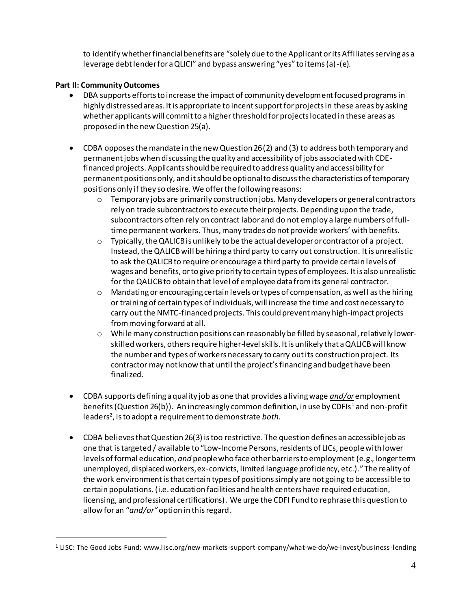to identify whether financial benefits are "solely due to the Applicant or its Affiliates serving as a leverage debt lender for a QLICI" and bypass answering "yes" to items (a)-(e).

# **Part II: Community Outcomes**

 $\overline{a}$ 

- DBA supports efforts to increase the impact of community development focused programs in highly distressed areas. It is appropriate to incent support for projects in these areas by asking whether applicants will commit to a higher threshold for projects located in these areas as proposed in the new Question 25(a).
- CDBA opposes the mandate in the new Question 26 (2) and (3) to address both temporary and permanent jobs when discussing the quality and accessibility of jobs associated with CDEfinanced projects. Applicants should be required to address quality and accessibility for permanent positions only, and it should be optional to discuss the characteristics of temporary positions only if they so desire. We offer the following reasons:
	- $\circ$  Temporary jobs are primarily construction jobs. Many developers or general contractors rely on trade subcontractors to execute their projects. Depending upon the trade, subcontractors often rely on contract labor and do not employ a large numbers of fulltime permanent workers. Thus, many trades do not provide workers' with benefits.
	- o Typically, the QALICB is unlikely to be the actual developer or contractor of a project. Instead, the QALICB will be hiring a third party to carry out construction. It is unrealistic to ask the QALICB to require or encourage a third party to provide certain levels of wages and benefits, or to give priority to certain types of employees. It is also unrealistic for the QALICB to obtain that level of employee data from its general contractor.
	- $\circ$  Mandating or encouraging certain levels or types of compensation, as well as the hiring or training of certain types of individuals, will increase the time and cost necessary to carry out the NMTC-financed projects. This could prevent many high-impact projects from moving forward at all.
	- o While many construction positions can reasonably be filled by seasonal, relatively lowerskilled workers, others require higher-level skills. It is unlikely that a QALICB will know the number and types of workers necessary to carry out its construction project. Its contractor may not know that until the project's financing and budget have been finalized.
- CDBA supports defining a quality job as one that provides a living wage *and/or* employment benefits (Question 26(b)). An increasingly common definition, in use by CDFIs<sup>1</sup> and non-profit leaders 2 , is to adopt a requirement to demonstrate *both*.
- CDBA believes that Question 26(3) is too restrictive. The question defines an accessible job as one that is targeted / available to "Low-Income Persons, residents of LICs, peoplewith lower levels of formal education, *and* people who face other barriers to employment (e.g., longer term unemployed, displaced workers, ex-convicts, limited language proficiency, etc.)." The reality of the work environmentis that certain types of positions simply are not going to be accessible to certain populations. (i.e. education facilities and health centers have required education, licensing, and professional certifications). We urge the CDFI Fund to rephrase this question to allow for an "*and/or"*option in this regard.

<sup>1</sup> LISC: The Good Jobs Fund: www.lisc.org/new-markets-support-company/what-we-do/we-invest/business-lending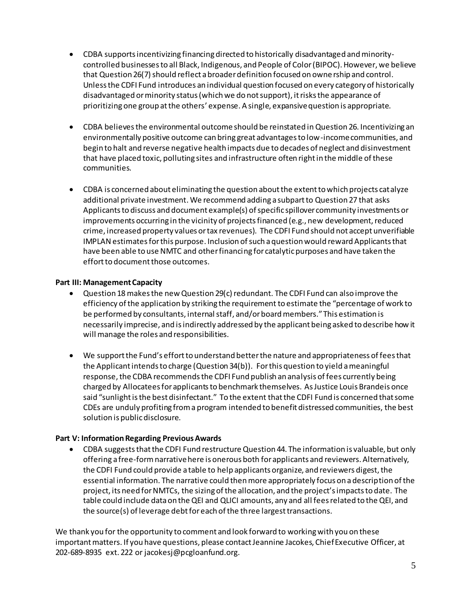- CDBA supports incentivizing financing directed to historically disadvantaged andminoritycontrolled businessesto all Black, Indigenous, and People of Color (BIPOC). However, we believe that Question 26(7) should reflect a broader definition focused on ownership and control. Unless the CDFI Fund introduces an individual question focused on every category of historically disadvantaged or minority status (which we do not support), it risks the appearance of prioritizing one group at the others' expense. A single, expansive question is appropriate.
- CDBA believes the environmental outcome should be reinstated inQuestion 26. Incentivizing an environmentally positive outcome can bring great advantages to low-income communities, and begin to halt and reverse negative health impacts due to decades of neglect and disinvestment that have placed toxic, polluting sites and infrastructure often right in the middle of these communities.
- CDBA is concerned about eliminating the question about the extent to which projects catalyze additional private investment.We recommend adding a subpart to Question 27 that asks Applicants to discuss and document example(s) of specific spillover community investments or improvements occurring in the vicinity of projects financed (e.g., new development, reduced crime, increased property values or tax revenues). The CDFI Fund should not accept unverifiable IMPLAN estimates for this purpose. Inclusion of such a question would reward Applicants that have been able to use NMTC and other financing for catalytic purposes and have taken the effort to document those outcomes.

## **Part III: Management Capacity**

- Question 18 makes the new Question 29(c) redundant. The CDFI Fund can also improve the efficiency of the application by striking the requirement to estimate the "percentage of work to be performed by consultants, internal staff, and/or board members." This estimation is necessarily imprecise, and is indirectly addressed by the applicant being asked to describe how it will manage the roles and responsibilities.
- We support the Fund's effort to understand better the nature and appropriateness of fees that the Applicant intends to charge (Question 34(b)). For this question to yield a meaningful response, the CDBA recommends the CDFI Fund publish an analysis of fees currently being charged by Allocatees for applicants to benchmark themselves. As Justice Louis Brandeis once said "sunlight is the best disinfectant." To the extent that the CDFI Fund is concerned that some CDEs are unduly profiting from a program intended to benefit distressed communities, the best solution is public disclosure.

# **Part V: Information Regarding Previous Awards**

 CDBA suggeststhat the CDFI Fund restructure Question 44. The information is valuable, but only offering a free-formnarrative here is onerous both for applicants and reviewers. Alternatively, the CDFI Fund could provide a table to help applicants organize, and reviewers digest, the essential information. The narrative could then more appropriately focus on a description of the project, its need for NMTCs, the sizing of the allocation, and the project's impacts to date. The table could include data on the QEI and QLICI amounts, any and all fees related to the QEI, and the source(s) of leverage debt for each of the three largest transactions.

We thank you for the opportunity to comment and look forward to working with you on these important matters. If you have questions, please contact Jeannine Jacokes, Chief Executive Officer, at 202-689-8935 ext. 222 or jacokesj@pcgloanfund.org.